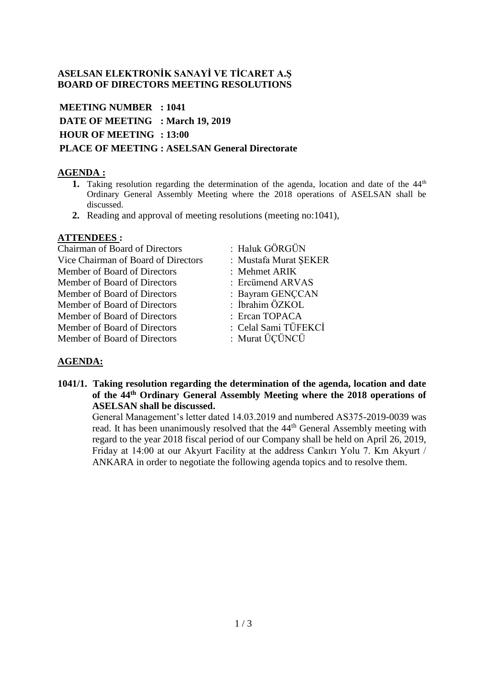### **ASELSAN ELEKTRONİK SANAYİ VE TİCARET A.Ş BOARD OF DIRECTORS MEETING RESOLUTIONS**

**MEETING NUMBER : 1041 DATE OF MEETING : March 19, 2019 HOUR OF MEETING : 13:00 PLACE OF MEETING : ASELSAN General Directorate**

# **AGENDA :**

- **1.** Taking resolution regarding the determination of the agenda, location and date of the 44<sup>th</sup> Ordinary General Assembly Meeting where the 2018 operations of ASELSAN shall be discussed.
- **2.** Reading and approval of meeting resolutions (meeting no:1041),

#### **ATTENDEES :**

Chairman of Board of Directors : Haluk GÖRGÜN Vice Chairman of Board of Directors : Mustafa Murat ŞEKER Member of Board of Directors : Mehmet ARIK Member of Board of Directors : Ercümend ARVAS Member of Board of Directors : Bayram GENCCAN Member of Board of Directors : İbrahim ÖZKOL Member of Board of Directors : Ercan TOPACA Member of Board of Directors : Celal Sami TÜFEKCİ Member of Board of Directors : Murat ÜÇÜNCÜ

- 
- 
- 
- 
- 
- 
- 
- 

# **AGENDA:**

**1041/1. Taking resolution regarding the determination of the agenda, location and date of the 44th Ordinary General Assembly Meeting where the 2018 operations of ASELSAN shall be discussed.**

General Management's letter dated 14.03.2019 and numbered AS375-2019-0039 was read. It has been unanimously resolved that the 44<sup>th</sup> General Assembly meeting with regard to the year 2018 fiscal period of our Company shall be held on April 26, 2019, Friday at 14:00 at our Akyurt Facility at the address Cankırı Yolu 7. Km Akyurt / ANKARA in order to negotiate the following agenda topics and to resolve them.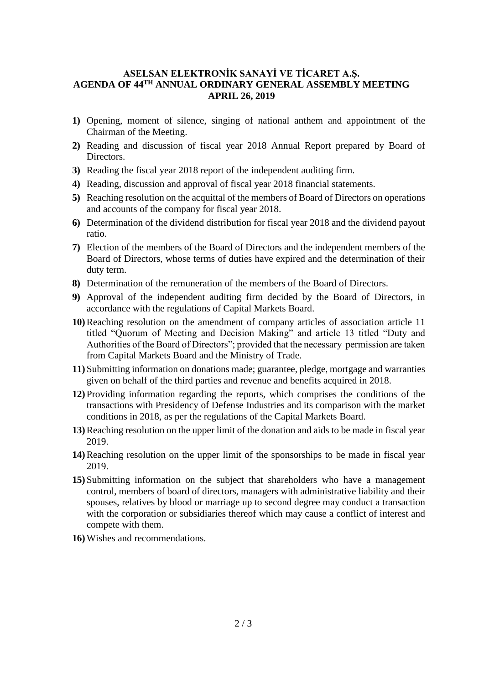### **ASELSAN ELEKTRONİK SANAYİ VE TİCARET A.Ş. AGENDA OF 44TH ANNUAL ORDINARY GENERAL ASSEMBLY MEETING APRIL 26, 2019**

- **1)** Opening, moment of silence, singing of national anthem and appointment of the Chairman of the Meeting.
- **2)** Reading and discussion of fiscal year 2018 Annual Report prepared by Board of Directors.
- **3)** Reading the fiscal year 2018 report of the independent auditing firm.
- **4)** Reading, discussion and approval of fiscal year 2018 financial statements.
- **5)** Reaching resolution on the acquittal of the members of Board of Directors on operations and accounts of the company for fiscal year 2018.
- **6)** Determination of the dividend distribution for fiscal year 2018 and the dividend payout ratio.
- **7)** Election of the members of the Board of Directors and the independent members of the Board of Directors, whose terms of duties have expired and the determination of their duty term.
- **8)** Determination of the remuneration of the members of the Board of Directors.
- **9)** Approval of the independent auditing firm decided by the Board of Directors, in accordance with the regulations of Capital Markets Board.
- **10)**Reaching resolution on the amendment of company articles of association article 11 titled "Quorum of Meeting and Decision Making" and article 13 titled "Duty and Authorities of the Board of Directors"; provided that the necessary permission are taken from Capital Markets Board and the Ministry of Trade.
- **11)** Submitting information on donations made; guarantee, pledge, mortgage and warranties given on behalf of the third parties and revenue and benefits acquired in 2018.
- **12)** Providing information regarding the reports, which comprises the conditions of the transactions with Presidency of Defense Industries and its comparison with the market conditions in 2018, as per the regulations of the Capital Markets Board.
- **13)**Reaching resolution on the upper limit of the donation and aids to be made in fiscal year 2019.
- **14)**Reaching resolution on the upper limit of the sponsorships to be made in fiscal year 2019.
- **15)** Submitting information on the subject that shareholders who have a management control, members of board of directors, managers with administrative liability and their spouses, relatives by blood or marriage up to second degree may conduct a transaction with the corporation or subsidiaries thereof which may cause a conflict of interest and compete with them.
- **16)**Wishes and recommendations.